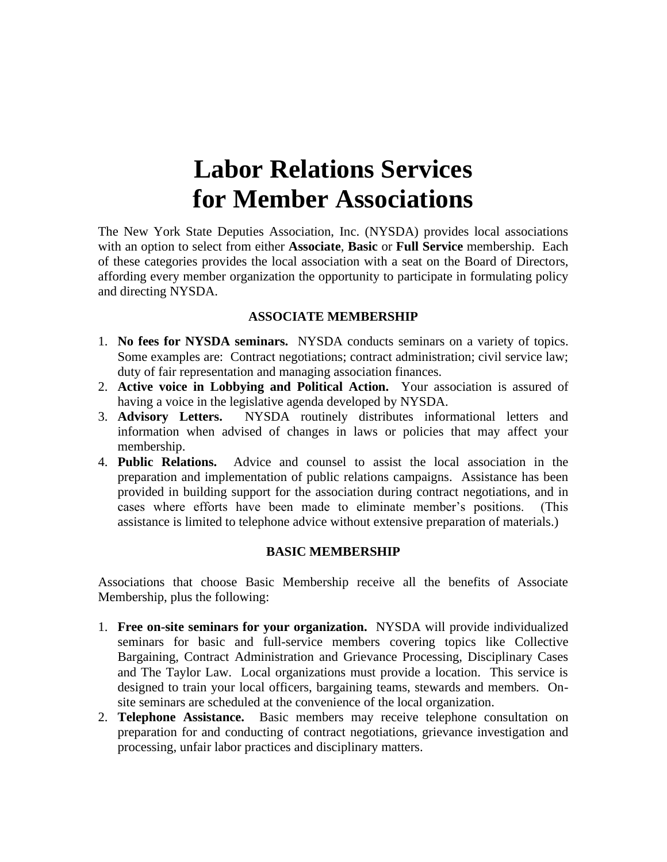# **Labor Relations Services for Member Associations**

The New York State Deputies Association, Inc. (NYSDA) provides local associations with an option to select from either **Associate**, **Basic** or **Full Service** membership. Each of these categories provides the local association with a seat on the Board of Directors, affording every member organization the opportunity to participate in formulating policy and directing NYSDA.

#### **ASSOCIATE MEMBERSHIP**

- 1. **No fees for NYSDA seminars.** NYSDA conducts seminars on a variety of topics. Some examples are: Contract negotiations; contract administration; civil service law; duty of fair representation and managing association finances.
- 2. **Active voice in Lobbying and Political Action.** Your association is assured of having a voice in the legislative agenda developed by NYSDA.
- 3. **Advisory Letters.** NYSDA routinely distributes informational letters and information when advised of changes in laws or policies that may affect your membership.
- 4. **Public Relations.** Advice and counsel to assist the local association in the preparation and implementation of public relations campaigns. Assistance has been provided in building support for the association during contract negotiations, and in cases where efforts have been made to eliminate member's positions. (This assistance is limited to telephone advice without extensive preparation of materials.)

#### **BASIC MEMBERSHIP**

Associations that choose Basic Membership receive all the benefits of Associate Membership, plus the following:

- 1. **Free on-site seminars for your organization.** NYSDA will provide individualized seminars for basic and full-service members covering topics like Collective Bargaining, Contract Administration and Grievance Processing, Disciplinary Cases and The Taylor Law. Local organizations must provide a location. This service is designed to train your local officers, bargaining teams, stewards and members. Onsite seminars are scheduled at the convenience of the local organization.
- 2. **Telephone Assistance.** Basic members may receive telephone consultation on preparation for and conducting of contract negotiations, grievance investigation and processing, unfair labor practices and disciplinary matters.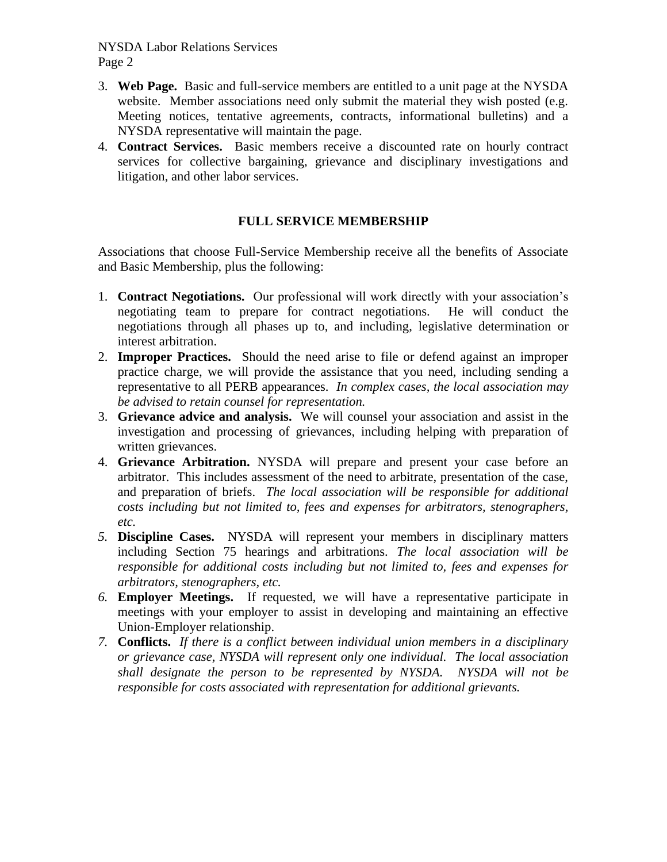NYSDA Labor Relations Services Page 2

- 3. **Web Page.** Basic and full-service members are entitled to a unit page at the NYSDA website. Member associations need only submit the material they wish posted (e.g. Meeting notices, tentative agreements, contracts, informational bulletins) and a NYSDA representative will maintain the page.
- 4. **Contract Services.** Basic members receive a discounted rate on hourly contract services for collective bargaining, grievance and disciplinary investigations and litigation, and other labor services.

## **FULL SERVICE MEMBERSHIP**

Associations that choose Full-Service Membership receive all the benefits of Associate and Basic Membership, plus the following:

- 1. **Contract Negotiations.** Our professional will work directly with your association's negotiating team to prepare for contract negotiations. He will conduct the negotiations through all phases up to, and including, legislative determination or interest arbitration.
- 2. **Improper Practices.** Should the need arise to file or defend against an improper practice charge, we will provide the assistance that you need, including sending a representative to all PERB appearances. *In complex cases, the local association may be advised to retain counsel for representation.*
- 3. **Grievance advice and analysis.** We will counsel your association and assist in the investigation and processing of grievances, including helping with preparation of written grievances.
- 4. **Grievance Arbitration.** NYSDA will prepare and present your case before an arbitrator. This includes assessment of the need to arbitrate, presentation of the case, and preparation of briefs. *The local association will be responsible for additional costs including but not limited to, fees and expenses for arbitrators, stenographers, etc.*
- *5.* **Discipline Cases.** NYSDA will represent your members in disciplinary matters including Section 75 hearings and arbitrations. *The local association will be responsible for additional costs including but not limited to, fees and expenses for arbitrators, stenographers, etc.*
- *6.* **Employer Meetings.** If requested, we will have a representative participate in meetings with your employer to assist in developing and maintaining an effective Union-Employer relationship.
- *7.* **Conflicts.** *If there is a conflict between individual union members in a disciplinary or grievance case, NYSDA will represent only one individual. The local association shall designate the person to be represented by NYSDA. NYSDA will not be responsible for costs associated with representation for additional grievants.*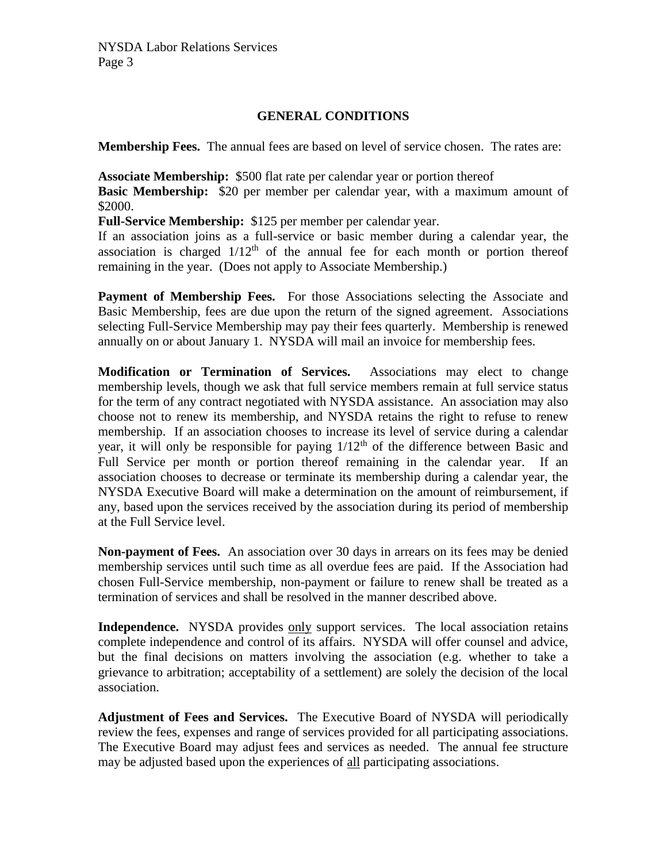### **GENERAL CONDITIONS**

**Membership Fees.** The annual fees are based on level of service chosen. The rates are:

**Associate Membership:** \$500 flat rate per calendar year or portion thereof

**Basic Membership:** \$20 per member per calendar year, with a maximum amount of \$2000.

**Full-Service Membership:** \$125 per member per calendar year.

If an association joins as a full-service or basic member during a calendar year, the association is charged  $1/12<sup>th</sup>$  of the annual fee for each month or portion thereof remaining in the year. (Does not apply to Associate Membership.)

**Payment of Membership Fees.** For those Associations selecting the Associate and Basic Membership, fees are due upon the return of the signed agreement. Associations selecting Full-Service Membership may pay their fees quarterly. Membership is renewed annually on or about January 1. NYSDA will mail an invoice for membership fees.

**Modification or Termination of Services.** Associations may elect to change membership levels, though we ask that full service members remain at full service status for the term of any contract negotiated with NYSDA assistance. An association may also choose not to renew its membership, and NYSDA retains the right to refuse to renew membership. If an association chooses to increase its level of service during a calendar year, it will only be responsible for paying  $1/12<sup>th</sup>$  of the difference between Basic and Full Service per month or portion thereof remaining in the calendar year. If an association chooses to decrease or terminate its membership during a calendar year, the NYSDA Executive Board will make a determination on the amount of reimbursement, if any, based upon the services received by the association during its period of membership at the Full Service level.

**Non-payment of Fees.** An association over 30 days in arrears on its fees may be denied membership services until such time as all overdue fees are paid. If the Association had chosen Full-Service membership, non-payment or failure to renew shall be treated as a termination of services and shall be resolved in the manner described above.

**Independence.** NYSDA provides only support services. The local association retains complete independence and control of its affairs. NYSDA will offer counsel and advice, but the final decisions on matters involving the association (e.g. whether to take a grievance to arbitration; acceptability of a settlement) are solely the decision of the local association.

**Adjustment of Fees and Services.** The Executive Board of NYSDA will periodically review the fees, expenses and range of services provided for all participating associations. The Executive Board may adjust fees and services as needed. The annual fee structure may be adjusted based upon the experiences of all participating associations.